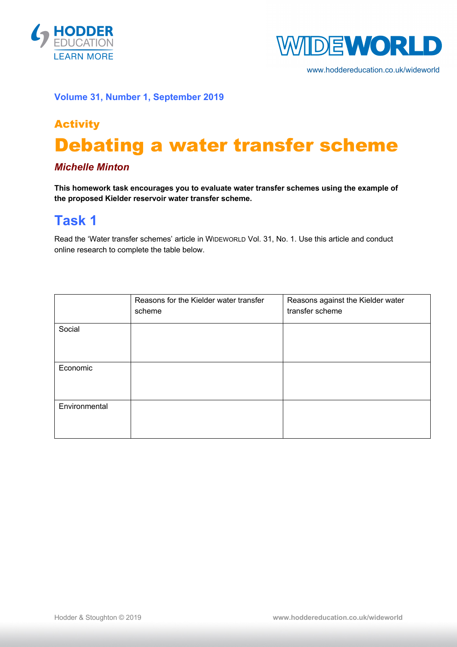



www.hoddereducation.co.uk/wideworld

### **Volume 31, Number 1, September 2019**

# Activity Debating a water transfer scheme

### *Michelle Minton*

**This homework task encourages you to evaluate water transfer schemes using the example of the proposed Kielder reservoir water transfer scheme.**

### **Task 1**

Read the 'Water transfer schemes' article in WIDEWORLD Vol. 31, No. 1. Use this article and conduct online research to complete the table below.

|               | Reasons for the Kielder water transfer<br>scheme | Reasons against the Kielder water<br>transfer scheme |
|---------------|--------------------------------------------------|------------------------------------------------------|
| Social        |                                                  |                                                      |
| Economic      |                                                  |                                                      |
| Environmental |                                                  |                                                      |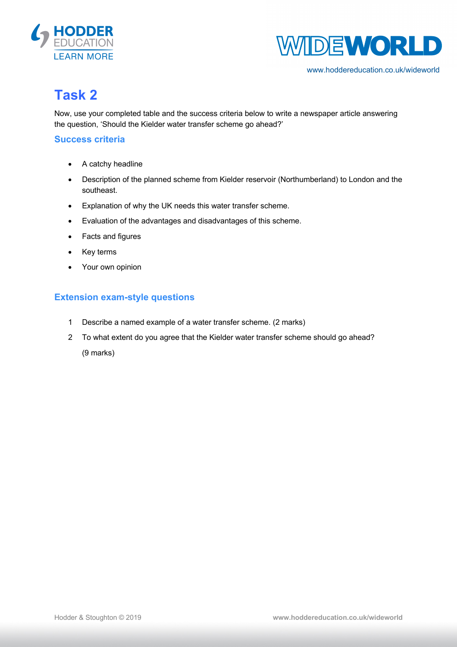



www.hoddereducation.co.uk/wideworld

## **Task 2**

Now, use your completed table and the success criteria below to write a newspaper article answering the question, 'Should the Kielder water transfer scheme go ahead?'

#### **Success criteria**

- A catchy headline
- Description of the planned scheme from Kielder reservoir (Northumberland) to London and the southeast.
- Explanation of why the UK needs this water transfer scheme.
- Evaluation of the advantages and disadvantages of this scheme.
- Facts and figures
- Key terms
- Your own opinion

#### **Extension exam-style questions**

- 1 Describe a named example of a water transfer scheme. (2 marks)
- 2 To what extent do you agree that the Kielder water transfer scheme should go ahead? (9 marks)